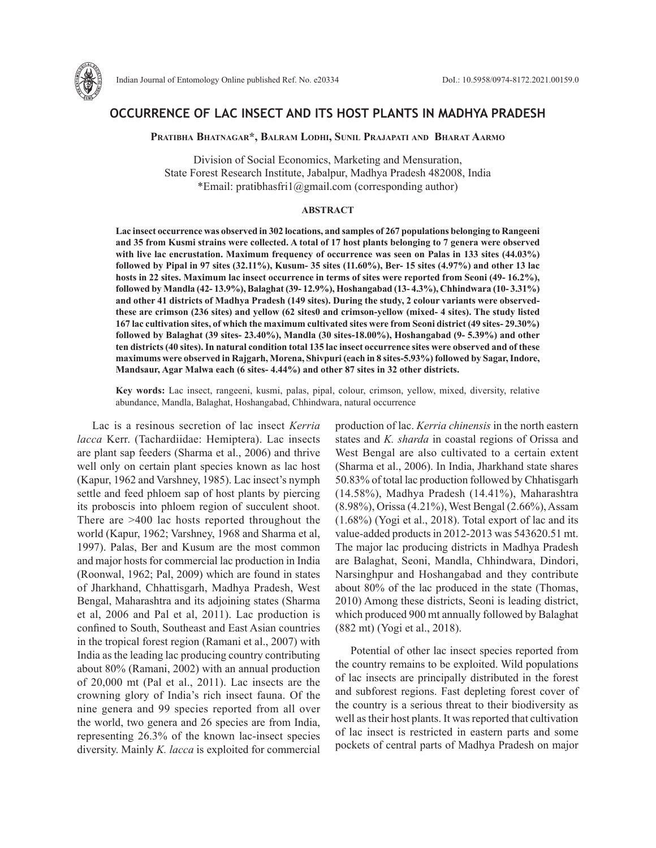

## **OCCURRENCE OF LAC INSECT AND ITS HOST PLANTS IN MADHYA PRADESH**

**Pratibha Bhatnagar\*, Balram Lodhi, Sunil Prajapati and Bharat Aarmo**

Division of Social Economics, Marketing and Mensuration, State Forest Research Institute, Jabalpur, Madhya Pradesh 482008, India \*Email: pratibhasfri1@gmail.com (corresponding author)

## **ABSTRACT**

**Lac insect occurrence was observed in 302 locations, and samples of 267 populations belonging to Rangeeni and 35 from Kusmi strains were collected. A total of 17 host plants belonging to 7 genera were observed with live lac encrustation. Maximum frequency of occurrence was seen on Palas in 133 sites (44.03%) followed by Pipal in 97 sites (32.11%), Kusum- 35 sites (11.60%), Ber- 15 sites (4.97%) and other 13 lac hosts in 22 sites. Maximum lac insect occurrence in terms of sites were reported from Seoni (49- 16.2%), followed by Mandla (42- 13.9%), Balaghat (39- 12.9%), Hoshangabad (13- 4.3%), Chhindwara (10- 3.31%) and other 41 districts of Madhya Pradesh (149 sites). During the study, 2 colour variants were observedthese are crimson (236 sites) and yellow (62 sites0 and crimson-yellow (mixed- 4 sites). The study listed 167 lac cultivation sites, of which the maximum cultivated sites were from Seoni district (49 sites- 29.30%) followed by Balaghat (39 sites- 23.40%), Mandla (30 sites-18.00%), Hoshangabad (9- 5.39%) and other ten districts (40 sites). In natural condition total 135 lac insect occurrence sites were observed and of these maximums were observed in Rajgarh, Morena, Shivpuri (each in 8 sites-5.93%) followed by Sagar, Indore, Mandsaur, Agar Malwa each (6 sites- 4.44%) and other 87 sites in 32 other districts.** 

**Key words:** Lac insect, rangeeni, kusmi, palas, pipal, colour, crimson, yellow, mixed, diversity, relative abundance, Mandla, Balaghat, Hoshangabad, Chhindwara, natural occurrence

Lac is a resinous secretion of lac insect *Kerria lacca* Kerr. (Tachardiidae: Hemiptera). Lac insects are plant sap feeders (Sharma et al., 2006) and thrive well only on certain plant species known as lac host (Kapur, 1962 and Varshney, 1985). Lac insect's nymph settle and feed phloem sap of host plants by piercing its proboscis into phloem region of succulent shoot. There are >400 lac hosts reported throughout the world (Kapur, 1962; Varshney, 1968 and Sharma et al, 1997). Palas, Ber and Kusum are the most common and major hosts for commercial lac production in India (Roonwal, 1962; Pal, 2009) which are found in states of Jharkhand, Chhattisgarh, Madhya Pradesh, West Bengal, Maharashtra and its adjoining states (Sharma et al, 2006 and Pal et al, 2011). Lac production is confined to South, Southeast and East Asian countries in the tropical forest region (Ramani et al., 2007) with India as the leading lac producing country contributing about 80% (Ramani, 2002) with an annual production of 20,000 mt (Pal et al., 2011). Lac insects are the crowning glory of India's rich insect fauna. Of the nine genera and 99 species reported from all over the world, two genera and 26 species are from India, representing 26.3% of the known lac-insect species diversity. Mainly *K. lacca* is exploited for commercial

production of lac. *Kerria chinensis* in the north eastern states and *K. sharda* in coastal regions of Orissa and West Bengal are also cultivated to a certain extent (Sharma et al., 2006). In India, Jharkhand state shares 50.83% of total lac production followed by Chhatisgarh (14.58%), Madhya Pradesh (14.41%), Maharashtra (8.98%), Orissa (4.21%), West Bengal (2.66%), Assam (1.68%) (Yogi et al., 2018). Total export of lac and its value-added products in 2012-2013 was 543620.51 mt. The major lac producing districts in Madhya Pradesh are Balaghat, Seoni, Mandla, Chhindwara, Dindori, Narsinghpur and Hoshangabad and they contribute about 80% of the lac produced in the state (Thomas, 2010) Among these districts, Seoni is leading district, which produced 900 mt annually followed by Balaghat (882 mt) (Yogi et al., 2018).

Potential of other lac insect species reported from the country remains to be exploited. Wild populations of lac insects are principally distributed in the forest and subforest regions. Fast depleting forest cover of the country is a serious threat to their biodiversity as well as their host plants. It was reported that cultivation of lac insect is restricted in eastern parts and some pockets of central parts of Madhya Pradesh on major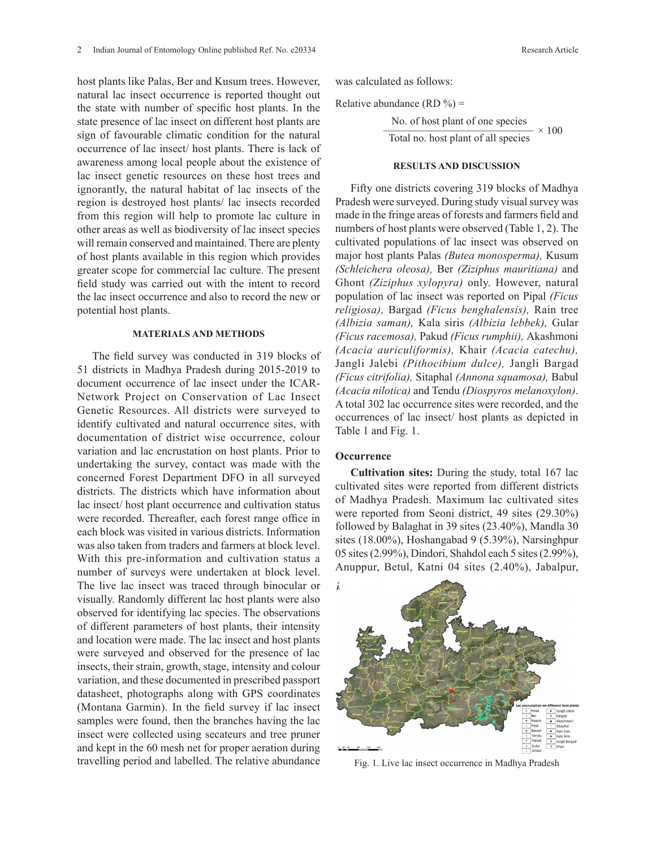host plants like Palas, Ber and Kusum trees. However, natural lac insect occurrence is reported thought out the state with number of specific host plants. In the state presence of lac insect on different host plants are sign of favourable climatic condition for the natural occurrence of lac insect/ host plants. There is lack of awareness among local people about the existence of lac insect genetic resources on these host trees and ignorantly, the natural habitat of lac insects of the region is destroyed host plants/ lac insects recorded from this region will help to promote lac culture in other areas as well as biodiversity of lac insect species will remain conserved and maintained. There are plenty of host plants available in this region which provides greater scope for commercial lac culture. The present field study was carried out with the intent to record the lac insect occurrence and also to record the new or potential host plants.

## **MATERIALS AND METHODS**

The field survey was conducted in 319 blocks of 51 districts in Madhya Pradesh during 2015-2019 to document occurrence of lac insect under the ICAR-Network Project on Conservation of Lac Insect Genetic Resources. All districts were surveyed to identify cultivated and natural occurrence sites, with documentation of district wise occurrence, colour variation and lac encrustation on host plants. Prior to undertaking the survey, contact was made with the concerned Forest Department DFO in all surveyed districts. The districts which have information about lac insect/ host plant occurrence and cultivation status were recorded. Thereafter, each forest range office in each block was visited in various districts. Information was also taken from traders and farmers at block level. With this pre-information and cultivation status a number of surveys were undertaken at block level. The live lac insect was traced through binocular or visually. Randomly different lac host plants were also observed for identifying lac species. The observations of different parameters of host plants, their intensity and location were made. The lac insect and host plants were surveyed and observed for the presence of lac insects, their strain, growth, stage, intensity and colour variation, and these documented in prescribed passport datasheet, photographs along with GPS coordinates (Montana Garmin). In the field survey if lac insect samples were found, then the branches having the lac insect were collected using secateurs and tree pruner and kept in the 60 mesh net for proper aeration during travelling period and labelled. The relative abundance  $\frac{4}{3}$   $\frac{1}{2}$   $\frac{1}{2}$   $\frac{1}{2}$   $\frac{1}{2}$   $\frac{1}{2}$   $\frac{1}{2}$   $\frac{1}{2}$   $\frac{1}{2}$   $\frac{1}{2}$   $\frac{1}{2}$   $\frac{1}{2}$   $\frac{1}{2}$   $\frac{1}{2}$   $\frac{1}{2}$   $\frac{1}{2}$   $\frac{1}{2}$   $\frac{1}{2}$   $\frac{1}{2}$   $\frac{1}{2}$   $\frac{1}{2}$   $\frac{1}{2}$   $h_{\text{th}}$  be  $\alpha$  -  $\alpha$  -  $\alpha$  -  $\alpha$  -  $\alpha$  -  $\alpha$  -  $\alpha$  -  $\alpha$  -  $\alpha$  -  $\alpha$  -  $\alpha$  -  $\alpha$  -  $\alpha$  -  $\alpha$  -  $\alpha$  -  $\alpha$  -  $\alpha$  -  $\alpha$  -  $\alpha$  -  $\alpha$  -  $\alpha$  -  $\alpha$  -  $\alpha$  -  $\alpha$  -  $\alpha$  -  $\alpha$  -  $\alpha$  -  $\alpha$  -  $\alpha$  -  $\alpha$ 

was calculated as follows:

Relative abundance (RD  $\%$ ) =

No. of host plant of one species  $\frac{1}{\text{Total no. host plant of all species}} \times 100$ 

### **RESULTS AND DISCUSSION**

Fifty one districts covering 319 blocks of Madhya Pradesh were surveyed. During study visual survey was made in the fringe areas of forests and farmers field and numbers of host plants were observed (Table 1, 2). The cultivated populations of lac insect was observed on major host plants Palas *(Butea monosperma),* Kusum *(Schleichera oleosa),* Ber *(Ziziphus mauritiana)* and Ghont *(Ziziphus xylopyra)* only. However, natural population of lac insect was reported on Pipal *(Ficus religiosa),* Bargad *(Ficus benghalensis),* Rain tree *(Albizia saman),* Kala siris *(Albizia lebbek),* Gular *(Ficus racemosa),* Pakud *(Ficus rumphii),* Akashmoni *(Acacia auriculiformis),* Khair *(Acacia catechu),*  Jangli Jalebi *(Pithocibium dulce),* Jangli Bargad *(Ficus citrifolia),* Sitaphal *(Annona squamosa),* Babul AR-<br><sub>1999</sub> *(Acacia nilotica)* and Tendu *(Diospyros melanoxylon)*.  $\frac{1}{2}$  A total 302 lac occurrence sites were recorded, and the  $\frac{3}{2}$  occurrences of lac insect/ host plants as depicted in  $\frac{1}{10}$  Table 1 and Fig. 1.  $\sec t$   $(Acaca muouca)$  and Tendu (*Diospyros metanoxyton*). with  $\sum_{n=1}^{\infty}$  1.32  $\pm$  2.40  $\pm$  2.40  $\pm$  2.40  $\pm$  2.40  $\pm$  2.40  $\pm$  2.40  $\pm$  2.40  $\pm$  2.40  $\pm$  2.40  $\pm$  2.40  $\pm$  2.40  $\pm$  2.40  $\pm$  2.40  $\pm$  2.40  $\pm$  2.40  $\pm$  2.40  $\pm$  2.40  $\pm$  2.40  $\pm$  2.40  $\pm$  2

# **Occurrence Occurrence**

**Cultivation sites:** During the study, total 167 lac  $_{\text{bout}}$  cultivated sites were reported from different districts of Madhya Pradesh. Maximum lac cultivated sites were reported from Seoni district, 49 sites (29.30%) followed by Balaghat in 39 sites (23.40%), Mandla 30 sites (18.00%), Hoshangabad 9 (5.39%), Narsinghpur 05 sites (2.99%), Dindori, Shahdol each 5 sites (2.99%), Anuppur, Betul, Katni 04 sites (2.40%), Jabalpur, can value sites were reported from unferent districts



Fig. 1. Live lac insect occurrence in Madhya Pradesh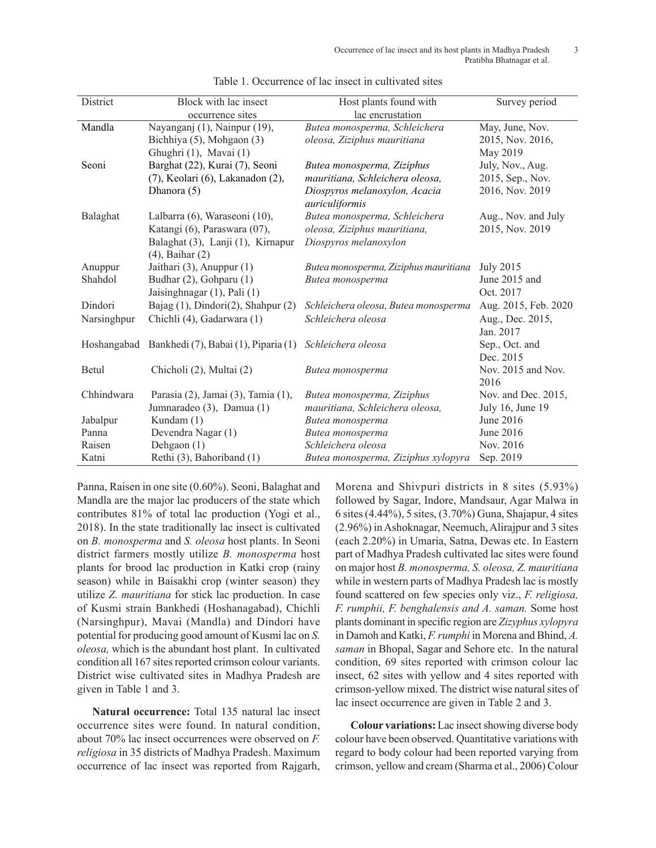| District    | Block with lac insect                | Host plants found with                | Survey period        |
|-------------|--------------------------------------|---------------------------------------|----------------------|
|             | occurrence sites                     | lac encrustation                      |                      |
| Mandla      | Nayanganj (1), Nainpur (19),         | Butea monosperma, Schleichera         | May, June, Nov.      |
|             | Bichhiya (5), Mohgaon (3)            | oleosa, Ziziphus mauritiana           | 2015, Nov. 2016,     |
|             | Ghughri (1), Mavai (1)               |                                       | May 2019             |
| Seoni       | Barghat (22), Kurai (7), Seoni       | Butea monosperma, Ziziphus            | July, Nov., Aug.     |
|             | (7), Keolari (6), Lakanadon (2),     | mauritiana, Schleichera oleosa,       | 2015, Sep., Nov.     |
|             | Dhanora (5)                          | Diospyros melanoxylon, Acacia         | 2016, Nov. 2019      |
|             |                                      | auriculiformis                        |                      |
| Balaghat    | Lalbarra (6), Waraseoni (10),        | Butea monosperma, Schleichera         | Aug., Nov. and July  |
|             | Katangi (6), Paraswara (07),         | oleosa, Ziziphus mauritiana,          | 2015, Nov. 2019      |
|             | Balaghat (3), Lanji (1), Kirnapur    | Diospyros melanoxylon                 |                      |
|             | $(4)$ , Baihar $(2)$                 |                                       |                      |
| Anuppur     | Jaithari (3), Anuppur (1)            | Butea monosperma, Ziziphus mauritiana | <b>July 2015</b>     |
| Shahdol     | Budhar (2), Gohparu (1)              | Butea monosperma                      | June 2015 and        |
|             | Jaisinghnagar (1), Pali (1)          |                                       | Oct. 2017            |
| Dindori     | Bajag (1), Dindori(2), Shahpur (2)   | Schleichera oleosa, Butea monosperma  | Aug. 2015, Feb. 2020 |
| Narsinghpur | Chichli (4), Gadarwara (1)           | Schleichera oleosa                    | Aug., Dec. 2015,     |
|             |                                      |                                       | Jan. 2017            |
| Hoshangabad | Bankhedi (7), Babai (1), Piparia (1) | Schleichera oleosa                    | Sep., Oct. and       |
|             |                                      |                                       | Dec. 2015            |
| Betul       | Chicholi (2), Multai (2)             | Butea monosperma                      | Nov. 2015 and Nov.   |
|             |                                      |                                       | 2016                 |
| Chhindwara  | Parasia (2), Jamai (3), Tamia (1),   | Butea monosperma, Ziziphus            | Nov. and Dec. 2015,  |
|             | Jumnaradeo (3), Damua (1)            | mauritiana, Schleichera oleosa,       | July 16, June 19     |
| Jabalpur    | Kundam (1)                           | Butea monosperma                      | June 2016            |
| Panna       | Devendra Nagar (1)                   | Butea monosperma                      | June 2016            |
| Raisen      | Dehgaon (1)                          | Schleichera oleosa                    | Nov. 2016            |
| Katni       | Rethi (3), Bahoriband (1)            | Butea monosperma, Ziziphus xylopyra   | Sep. 2019            |

Table 1. Occurrence of lac insect in cultivated sites

Panna, Raisen in one site (0.60%). Seoni, Balaghat and Mandla are the major lac producers of the state which contributes 81% of total lac production (Yogi et al., 2018). In the state traditionally lac insect is cultivated on *B. monosperma* and *S. oleosa* host plants. In Seoni district farmers mostly utilize *B. monosperma* host plants for brood lac production in Katki crop (rainy season) while in Baisakhi crop (winter season) they utilize *Z. mauritiana* for stick lac production. In case of Kusmi strain Bankhedi (Hoshanagabad), Chichli (Narsinghpur), Mavai (Mandla) and Dindori have potential for producing good amount of Kusmi lac on *S. oleosa,* which is the abundant host plant. In cultivated condition all 167 sites reported crimson colour variants. District wise cultivated sites in Madhya Pradesh are given in Table 1 and 3.

**Natural occurrence:** Total 135 natural lac insect occurrence sites were found. In natural condition, about 70% lac insect occurrences were observed on *F. religiosa* in 35 districts of Madhya Pradesh. Maximum occurrence of lac insect was reported from Rajgarh, Morena and Shivpuri districts in 8 sites (5.93%) followed by Sagar, Indore, Mandsaur, Agar Malwa in 6 sites (4.44%), 5 sites, (3.70%) Guna, Shajapur, 4 sites (2.96%) in Ashoknagar, Neemuch, Alirajpur and 3 sites (each 2.20%) in Umaria, Satna, Dewas etc. In Eastern part of Madhya Pradesh cultivated lac sites were found on major host *B. monosperma, S. oleosa, Z. mauritiana* while in western parts of Madhya Pradesh lac is mostly found scattered on few species only viz., *F. religiosa, F. rumphii, F. benghalensis and A. saman.* Some host plants dominant in specific region are *Zizyphus xylopyra* in Damoh and Katki, *F. rumphi* in Morena and Bhind, *A. saman* in Bhopal, Sagar and Sehore etc. In the natural condition, 69 sites reported with crimson colour lac insect, 62 sites with yellow and 4 sites reported with crimson-yellow mixed. The district wise natural sites of lac insect occurrence are given in Table 2 and 3.

**Colour variations:** Lac insect showing diverse body colour have been observed. Quantitative variations with regard to body colour had been reported varying from crimson, yellow and cream (Sharma et al., 2006) Colour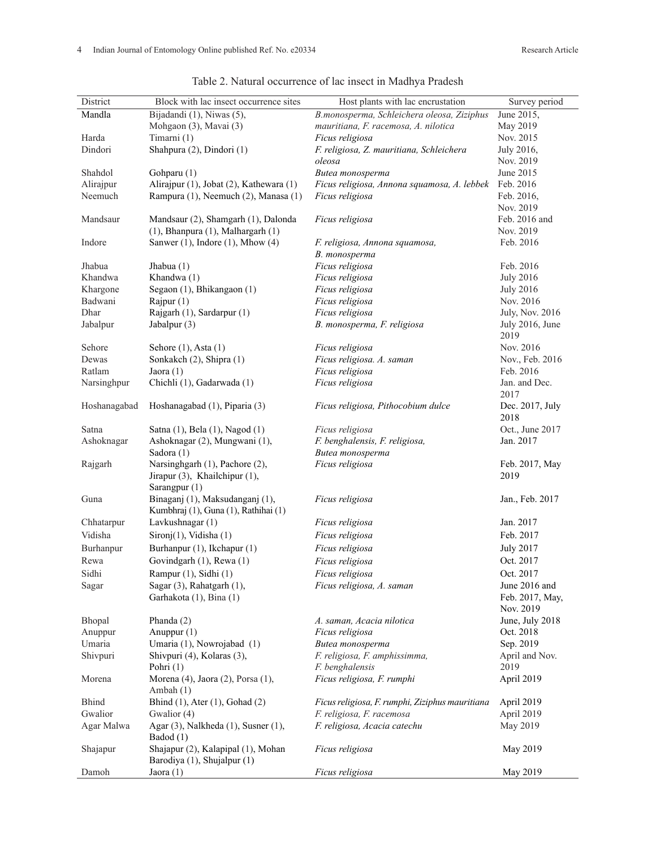| District     | Block with lac insect occurrence sites                            | Host plants with lac encrustation               | Survey period          |
|--------------|-------------------------------------------------------------------|-------------------------------------------------|------------------------|
| Mandla       | Bijadandi (1), Niwas (5),                                         | B.monosperma, Schleichera oleosa, Ziziphus      | June 2015,             |
|              | Mohgaon (3), Mavai (3)                                            | mauritiana, F. racemosa, A. nilotica            | May 2019               |
| Harda        | Timarni (1)                                                       | Ficus religiosa                                 | Nov. 2015              |
| Dindori      | Shahpura (2), Dindori (1)                                         | F. religiosa, Z. mauritiana, Schleichera        | July 2016,             |
|              |                                                                   | oleosa                                          | Nov. 2019              |
| Shahdol      | Gohparu (1)                                                       | Butea monosperma                                | June 2015              |
| Alirajpur    | Alirajpur (1), Jobat (2), Kathewara (1)                           | Ficus religiosa, Annona squamosa, A. lebbek     | Feb. 2016              |
| Neemuch      | Rampura (1), Neemuch (2), Manasa (1)                              | Ficus religiosa                                 | Feb. 2016,             |
|              |                                                                   |                                                 | Nov. 2019              |
| Mandsaur     | Mandsaur (2), Shamgarh (1), Dalonda                               | Ficus religiosa                                 | Feb. 2016 and          |
|              | $(1)$ , Bhanpura $(1)$ , Malhargarh $(1)$                         |                                                 | Nov. 2019              |
| Indore       | Sanwer $(1)$ , Indore $(1)$ , Mhow $(4)$                          | F. religiosa, Annona squamosa,                  | Feb. 2016              |
|              |                                                                   | B. monosperma                                   |                        |
| Jhabua       | Jhabua $(1)$                                                      | Ficus religiosa                                 | Feb. 2016              |
| Khandwa      | Khandwa (1)                                                       | Ficus religiosa                                 | <b>July 2016</b>       |
| Khargone     | Segaon (1), Bhikangaon (1)                                        | Ficus religiosa                                 | <b>July 2016</b>       |
| Badwani      | Rajpur $(1)$                                                      | Ficus religiosa                                 | Nov. 2016              |
| Dhar         | Rajgarh (1), Sardarpur (1)                                        | Ficus religiosa                                 | <b>July, Nov. 2016</b> |
| Jabalpur     | Jabalpur (3)                                                      | B. monosperma, F. religiosa                     | July 2016, June        |
|              |                                                                   |                                                 | 2019                   |
| Sehore       | Sehore $(1)$ , Asta $(1)$                                         | Ficus religiosa                                 | Nov. 2016              |
| Dewas        | Sonkakch (2), Shipra (1)                                          | Ficus religiosa. A. saman                       | Nov., Feb. 2016        |
| Ratlam       | Jaora $(1)$                                                       | Ficus religiosa                                 | Feb. 2016              |
| Narsinghpur  | Chichli (1), Gadarwada (1)                                        | Ficus religiosa                                 | Jan. and Dec.          |
|              |                                                                   |                                                 | 2017                   |
| Hoshanagabad | Hoshanagabad (1), Piparia (3)                                     | Ficus religiosa, Pithocobium dulce              | Dec. 2017, July        |
|              |                                                                   |                                                 | 2018                   |
| Satna        | Satna (1), Bela (1), Nagod (1)                                    | Ficus religiosa                                 | Oct., June 2017        |
| Ashoknagar   | Ashoknagar (2), Mungwani (1),                                     | F. benghalensis, F. religiosa,                  | Jan. 2017              |
|              | Sadora (1)                                                        | Butea monosperma                                |                        |
| Rajgarh      | Narsinghgarh (1), Pachore (2),                                    | Ficus religiosa                                 | Feb. 2017, May         |
|              | Jirapur (3), Khailchipur (1),                                     |                                                 | 2019                   |
|              | Sarangpur (1)                                                     |                                                 |                        |
| Guna         | Binaganj (1), Maksudanganj (1),                                   | Ficus religiosa                                 | Jan., Feb. 2017        |
|              | Kumbhraj (1), Guna (1), Rathihai (1)                              |                                                 |                        |
| Chhatarpur   | Lavkushnagar (1)                                                  | Ficus religiosa                                 | Jan. 2017              |
| Vidisha      | $Sironj(1)$ , Vidisha (1)                                         | Ficus religiosa                                 | Feb. 2017              |
| Burhanpur    | Burhanpur (1), Ikchapur (1)                                       | Ficus religiosa                                 | <b>July 2017</b>       |
| Rewa         | Govindgarh (1), Rewa (1)                                          | Ficus religiosa                                 | Oct. 2017              |
| Sidhi        | Rampur $(1)$ , Sidhi $(1)$                                        | <i>Ficus religiosa</i>                          | Oct. 2017              |
| Sagar        | Sagar (3), Rahatgarh (1),                                         | Ficus religiosa, A. saman                       | June 2016 and          |
|              | Garhakota (1), Bina (1)                                           |                                                 | Feb. 2017, May,        |
|              |                                                                   |                                                 | Nov. 2019              |
| Bhopal       | Phanda $(2)$                                                      | A. saman, Acacia nilotica                       | June, July 2018        |
| Anuppur      | Anuppur (1)                                                       | Ficus religiosa                                 | Oct. 2018              |
| Umaria       | Umaria (1), Nowrojabad (1)                                        | Butea monosperma                                | Sep. 2019              |
| Shivpuri     | Shivpuri (4), Kolaras (3),                                        | F. religiosa, F. amphissimma,                   | April and Nov.         |
|              | Pohri (1)                                                         | F. benghalensis                                 | 2019                   |
| Morena       | Morena (4), Jaora (2), Porsa (1),<br>Ambah $(1)$                  | Ficus religiosa, F. rumphi                      | April 2019             |
| <b>Bhind</b> | Bhind $(1)$ , Ater $(1)$ , Gohad $(2)$                            | Ficus religiosa, F. rumphi, Ziziphus mauritiana | April 2019             |
| Gwalior      | Gwalior (4)                                                       | F. religiosa, F. racemosa                       | April 2019             |
| Agar Malwa   | Agar (3), Nalkheda (1), Susner (1),                               | F. religiosa, Acacia catechu                    | May 2019               |
|              | Badod (1)                                                         |                                                 |                        |
| Shajapur     | Shajapur (2), Kalapipal (1), Mohan<br>Barodiya (1), Shujalpur (1) | Ficus religiosa                                 | May 2019               |
| Damoh        | Jaora $(1)$                                                       | Ficus religiosa                                 | May 2019               |
|              |                                                                   |                                                 |                        |

Table 2. Natural occurrence of lac insect in Madhya Pradesh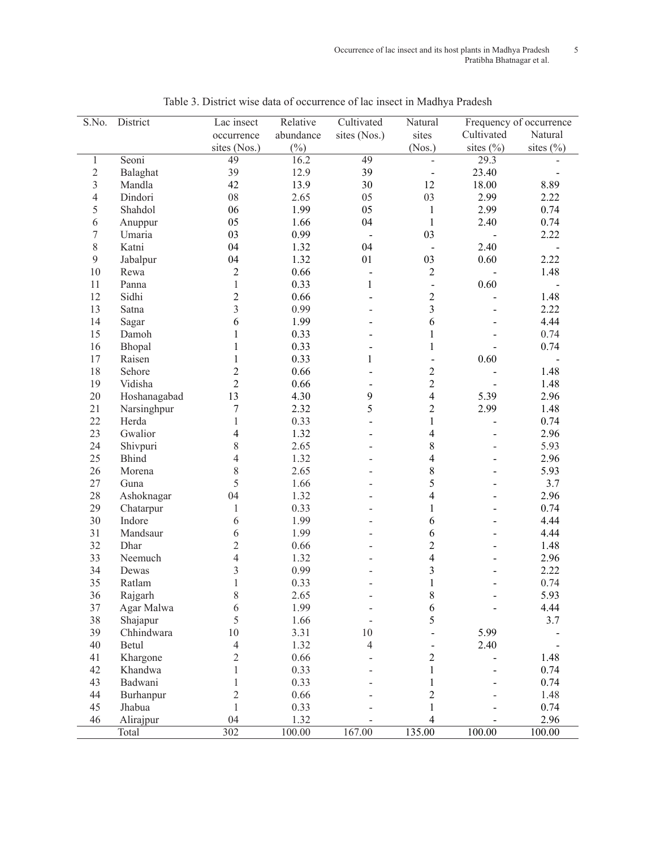| sites<br>Cultivated<br>Natural<br>abundance<br>sites (Nos.)<br>occurrence<br>$(\%)$<br>sites $(\% )$<br>sites $(\% )$<br>sites (Nos.)<br>(Nos.)<br>16.2<br>49<br>49<br>29.3<br>Seoni<br>$\mathbf{1}$<br>39<br>12.9<br>39<br>23.40<br>$\sqrt{2}$<br>Balaghat<br>$\overline{\phantom{0}}$<br>$\mathfrak{Z}$<br>42<br>13.9<br>30<br>12<br>Mandla<br>18.00<br>8.89<br>08<br>Dindori<br>2.65<br>05<br>03<br>2.99<br>2.22<br>4<br>05<br>5<br>06<br>1.99<br>$\mathbf{1}$<br>2.99<br>0.74<br>Shahdol<br>04<br>05<br>1.66<br>$\mathbf{1}$<br>2.40<br>0.74<br>6<br>Anuppur<br>03<br>0.99<br>7<br>03<br>2.22<br>Umaria<br>$\blacksquare$<br>$\blacksquare$<br>$8\,$<br>04<br>04<br>2.40<br>Katni<br>1.32<br>$\blacksquare$<br>03<br>0.60<br>9<br>04<br>1.32<br>01<br>2.22<br>Jabalpur<br>$10\,$<br>$\overline{2}$<br>0.66<br>$\overline{c}$<br>1.48<br>Rewa<br>$\qquad \qquad \blacksquare$<br>$\mathbf{1}$<br>$\mathbf{1}$<br>0.60<br>0.33<br>11<br>Panna<br>$\overline{\phantom{0}}$<br>$\overline{c}$<br>$\overline{2}$<br>12<br>Sidhi<br>0.66<br>1.48<br>$\overline{a}$<br>$\overline{3}$<br>$\overline{3}$<br>0.99<br>2.22<br>13<br>Satna<br>6<br>1.99<br>6<br>14<br>4.44<br>Sagar<br>$\mathbf{1}$<br>0.33<br>$\mathbf{1}$<br>0.74<br>15<br>Damoh<br>16<br>$\mathbf{1}$<br>0.33<br>$\mathbf{1}$<br>0.74<br>Bhopal<br>0.33<br>0.60<br>17<br>Raisen<br>$\mathbf{1}$<br>$\mathbf{1}$<br>$\overline{c}$<br>$\overline{c}$<br>18<br>0.66<br>1.48<br>Sehore<br>$\overline{a}$<br>$\overline{2}$<br>$\overline{2}$<br>19<br>Vidisha<br>0.66<br>1.48<br>13<br>$\overline{4}$<br>20<br>Hoshanagabad<br>4.30<br>$\boldsymbol{9}$<br>5.39<br>2.96 |
|----------------------------------------------------------------------------------------------------------------------------------------------------------------------------------------------------------------------------------------------------------------------------------------------------------------------------------------------------------------------------------------------------------------------------------------------------------------------------------------------------------------------------------------------------------------------------------------------------------------------------------------------------------------------------------------------------------------------------------------------------------------------------------------------------------------------------------------------------------------------------------------------------------------------------------------------------------------------------------------------------------------------------------------------------------------------------------------------------------------------------------------------------------------------------------------------------------------------------------------------------------------------------------------------------------------------------------------------------------------------------------------------------------------------------------------------------------------------------------------------------------------------------------------------------------------------------------------------------------------------------------|
|                                                                                                                                                                                                                                                                                                                                                                                                                                                                                                                                                                                                                                                                                                                                                                                                                                                                                                                                                                                                                                                                                                                                                                                                                                                                                                                                                                                                                                                                                                                                                                                                                                  |
|                                                                                                                                                                                                                                                                                                                                                                                                                                                                                                                                                                                                                                                                                                                                                                                                                                                                                                                                                                                                                                                                                                                                                                                                                                                                                                                                                                                                                                                                                                                                                                                                                                  |
|                                                                                                                                                                                                                                                                                                                                                                                                                                                                                                                                                                                                                                                                                                                                                                                                                                                                                                                                                                                                                                                                                                                                                                                                                                                                                                                                                                                                                                                                                                                                                                                                                                  |
|                                                                                                                                                                                                                                                                                                                                                                                                                                                                                                                                                                                                                                                                                                                                                                                                                                                                                                                                                                                                                                                                                                                                                                                                                                                                                                                                                                                                                                                                                                                                                                                                                                  |
|                                                                                                                                                                                                                                                                                                                                                                                                                                                                                                                                                                                                                                                                                                                                                                                                                                                                                                                                                                                                                                                                                                                                                                                                                                                                                                                                                                                                                                                                                                                                                                                                                                  |
|                                                                                                                                                                                                                                                                                                                                                                                                                                                                                                                                                                                                                                                                                                                                                                                                                                                                                                                                                                                                                                                                                                                                                                                                                                                                                                                                                                                                                                                                                                                                                                                                                                  |
|                                                                                                                                                                                                                                                                                                                                                                                                                                                                                                                                                                                                                                                                                                                                                                                                                                                                                                                                                                                                                                                                                                                                                                                                                                                                                                                                                                                                                                                                                                                                                                                                                                  |
|                                                                                                                                                                                                                                                                                                                                                                                                                                                                                                                                                                                                                                                                                                                                                                                                                                                                                                                                                                                                                                                                                                                                                                                                                                                                                                                                                                                                                                                                                                                                                                                                                                  |
|                                                                                                                                                                                                                                                                                                                                                                                                                                                                                                                                                                                                                                                                                                                                                                                                                                                                                                                                                                                                                                                                                                                                                                                                                                                                                                                                                                                                                                                                                                                                                                                                                                  |
|                                                                                                                                                                                                                                                                                                                                                                                                                                                                                                                                                                                                                                                                                                                                                                                                                                                                                                                                                                                                                                                                                                                                                                                                                                                                                                                                                                                                                                                                                                                                                                                                                                  |
|                                                                                                                                                                                                                                                                                                                                                                                                                                                                                                                                                                                                                                                                                                                                                                                                                                                                                                                                                                                                                                                                                                                                                                                                                                                                                                                                                                                                                                                                                                                                                                                                                                  |
|                                                                                                                                                                                                                                                                                                                                                                                                                                                                                                                                                                                                                                                                                                                                                                                                                                                                                                                                                                                                                                                                                                                                                                                                                                                                                                                                                                                                                                                                                                                                                                                                                                  |
|                                                                                                                                                                                                                                                                                                                                                                                                                                                                                                                                                                                                                                                                                                                                                                                                                                                                                                                                                                                                                                                                                                                                                                                                                                                                                                                                                                                                                                                                                                                                                                                                                                  |
|                                                                                                                                                                                                                                                                                                                                                                                                                                                                                                                                                                                                                                                                                                                                                                                                                                                                                                                                                                                                                                                                                                                                                                                                                                                                                                                                                                                                                                                                                                                                                                                                                                  |
|                                                                                                                                                                                                                                                                                                                                                                                                                                                                                                                                                                                                                                                                                                                                                                                                                                                                                                                                                                                                                                                                                                                                                                                                                                                                                                                                                                                                                                                                                                                                                                                                                                  |
|                                                                                                                                                                                                                                                                                                                                                                                                                                                                                                                                                                                                                                                                                                                                                                                                                                                                                                                                                                                                                                                                                                                                                                                                                                                                                                                                                                                                                                                                                                                                                                                                                                  |
|                                                                                                                                                                                                                                                                                                                                                                                                                                                                                                                                                                                                                                                                                                                                                                                                                                                                                                                                                                                                                                                                                                                                                                                                                                                                                                                                                                                                                                                                                                                                                                                                                                  |
|                                                                                                                                                                                                                                                                                                                                                                                                                                                                                                                                                                                                                                                                                                                                                                                                                                                                                                                                                                                                                                                                                                                                                                                                                                                                                                                                                                                                                                                                                                                                                                                                                                  |
|                                                                                                                                                                                                                                                                                                                                                                                                                                                                                                                                                                                                                                                                                                                                                                                                                                                                                                                                                                                                                                                                                                                                                                                                                                                                                                                                                                                                                                                                                                                                                                                                                                  |
|                                                                                                                                                                                                                                                                                                                                                                                                                                                                                                                                                                                                                                                                                                                                                                                                                                                                                                                                                                                                                                                                                                                                                                                                                                                                                                                                                                                                                                                                                                                                                                                                                                  |
|                                                                                                                                                                                                                                                                                                                                                                                                                                                                                                                                                                                                                                                                                                                                                                                                                                                                                                                                                                                                                                                                                                                                                                                                                                                                                                                                                                                                                                                                                                                                                                                                                                  |
|                                                                                                                                                                                                                                                                                                                                                                                                                                                                                                                                                                                                                                                                                                                                                                                                                                                                                                                                                                                                                                                                                                                                                                                                                                                                                                                                                                                                                                                                                                                                                                                                                                  |
| 5<br>$\overline{c}$<br>21<br>7<br>2.32<br>2.99<br>Narsinghpur<br>1.48                                                                                                                                                                                                                                                                                                                                                                                                                                                                                                                                                                                                                                                                                                                                                                                                                                                                                                                                                                                                                                                                                                                                                                                                                                                                                                                                                                                                                                                                                                                                                            |
| 22<br>$\mathbf{1}$<br>0.33<br>$\mathbf{1}$<br>0.74<br>Herda<br>$\overline{a}$<br>$\overline{a}$                                                                                                                                                                                                                                                                                                                                                                                                                                                                                                                                                                                                                                                                                                                                                                                                                                                                                                                                                                                                                                                                                                                                                                                                                                                                                                                                                                                                                                                                                                                                  |
| 23<br>1.32<br>$\overline{4}$<br>2.96<br>Gwalior<br>4<br>$\blacksquare$                                                                                                                                                                                                                                                                                                                                                                                                                                                                                                                                                                                                                                                                                                                                                                                                                                                                                                                                                                                                                                                                                                                                                                                                                                                                                                                                                                                                                                                                                                                                                           |
| 8<br>$8\,$<br>24<br>Shivpuri<br>2.65<br>5.93                                                                                                                                                                                                                                                                                                                                                                                                                                                                                                                                                                                                                                                                                                                                                                                                                                                                                                                                                                                                                                                                                                                                                                                                                                                                                                                                                                                                                                                                                                                                                                                     |
| 25<br>$\overline{4}$<br><b>Bhind</b><br>1.32<br>$\overline{4}$<br>2.96                                                                                                                                                                                                                                                                                                                                                                                                                                                                                                                                                                                                                                                                                                                                                                                                                                                                                                                                                                                                                                                                                                                                                                                                                                                                                                                                                                                                                                                                                                                                                           |
| 8<br>2.65<br>8<br>26<br>5.93<br>Morena                                                                                                                                                                                                                                                                                                                                                                                                                                                                                                                                                                                                                                                                                                                                                                                                                                                                                                                                                                                                                                                                                                                                                                                                                                                                                                                                                                                                                                                                                                                                                                                           |
| 5<br>5<br>3.7<br>27<br>1.66<br>Guna                                                                                                                                                                                                                                                                                                                                                                                                                                                                                                                                                                                                                                                                                                                                                                                                                                                                                                                                                                                                                                                                                                                                                                                                                                                                                                                                                                                                                                                                                                                                                                                              |
| 28<br>1.32<br>$\overline{4}$<br>2.96<br>Ashoknagar<br>04                                                                                                                                                                                                                                                                                                                                                                                                                                                                                                                                                                                                                                                                                                                                                                                                                                                                                                                                                                                                                                                                                                                                                                                                                                                                                                                                                                                                                                                                                                                                                                         |
| 29<br>$\mathbf{1}$<br>0.33<br>$\mathbf{1}$<br>0.74<br>Chatarpur                                                                                                                                                                                                                                                                                                                                                                                                                                                                                                                                                                                                                                                                                                                                                                                                                                                                                                                                                                                                                                                                                                                                                                                                                                                                                                                                                                                                                                                                                                                                                                  |
| 30<br>1.99<br>Indore<br>6<br>6<br>4.44                                                                                                                                                                                                                                                                                                                                                                                                                                                                                                                                                                                                                                                                                                                                                                                                                                                                                                                                                                                                                                                                                                                                                                                                                                                                                                                                                                                                                                                                                                                                                                                           |
| 1.99<br>31<br>6<br>6<br>4.44<br>Mandsaur                                                                                                                                                                                                                                                                                                                                                                                                                                                                                                                                                                                                                                                                                                                                                                                                                                                                                                                                                                                                                                                                                                                                                                                                                                                                                                                                                                                                                                                                                                                                                                                         |
| $\overline{2}$<br>$\overline{2}$<br>32<br>0.66<br>1.48<br>Dhar                                                                                                                                                                                                                                                                                                                                                                                                                                                                                                                                                                                                                                                                                                                                                                                                                                                                                                                                                                                                                                                                                                                                                                                                                                                                                                                                                                                                                                                                                                                                                                   |
| $\overline{4}$<br>$\overline{\mathcal{L}}$<br>33<br>1.32<br>2.96<br>Neemuch                                                                                                                                                                                                                                                                                                                                                                                                                                                                                                                                                                                                                                                                                                                                                                                                                                                                                                                                                                                                                                                                                                                                                                                                                                                                                                                                                                                                                                                                                                                                                      |
| 3<br>0.99<br>3<br>34<br>2.22<br>Dewas                                                                                                                                                                                                                                                                                                                                                                                                                                                                                                                                                                                                                                                                                                                                                                                                                                                                                                                                                                                                                                                                                                                                                                                                                                                                                                                                                                                                                                                                                                                                                                                            |
| 35<br>$\mathbf{1}$<br>0.33<br>0.74<br>Ratlam<br>1                                                                                                                                                                                                                                                                                                                                                                                                                                                                                                                                                                                                                                                                                                                                                                                                                                                                                                                                                                                                                                                                                                                                                                                                                                                                                                                                                                                                                                                                                                                                                                                |
| 8<br>8<br>5.93<br>36<br>2.65<br>Rajgarh                                                                                                                                                                                                                                                                                                                                                                                                                                                                                                                                                                                                                                                                                                                                                                                                                                                                                                                                                                                                                                                                                                                                                                                                                                                                                                                                                                                                                                                                                                                                                                                          |
| 6<br>37<br>Agar Malwa<br>1.99<br>6<br>4.44                                                                                                                                                                                                                                                                                                                                                                                                                                                                                                                                                                                                                                                                                                                                                                                                                                                                                                                                                                                                                                                                                                                                                                                                                                                                                                                                                                                                                                                                                                                                                                                       |
| 5<br>5<br>38<br>1.66<br>3.7<br>Shajapur                                                                                                                                                                                                                                                                                                                                                                                                                                                                                                                                                                                                                                                                                                                                                                                                                                                                                                                                                                                                                                                                                                                                                                                                                                                                                                                                                                                                                                                                                                                                                                                          |
| 10<br>3.31<br>5.99<br>39<br>Chhindwara<br>10                                                                                                                                                                                                                                                                                                                                                                                                                                                                                                                                                                                                                                                                                                                                                                                                                                                                                                                                                                                                                                                                                                                                                                                                                                                                                                                                                                                                                                                                                                                                                                                     |
| 1.32<br>40<br>Betul<br>$\overline{4}$<br>$\overline{4}$<br>2.40                                                                                                                                                                                                                                                                                                                                                                                                                                                                                                                                                                                                                                                                                                                                                                                                                                                                                                                                                                                                                                                                                                                                                                                                                                                                                                                                                                                                                                                                                                                                                                  |
| $\overline{2}$<br>0.66<br>41<br>Khargone<br>$\overline{c}$<br>1.48                                                                                                                                                                                                                                                                                                                                                                                                                                                                                                                                                                                                                                                                                                                                                                                                                                                                                                                                                                                                                                                                                                                                                                                                                                                                                                                                                                                                                                                                                                                                                               |
| 42<br>Khandwa<br>0.33<br>0.74<br>1<br>1                                                                                                                                                                                                                                                                                                                                                                                                                                                                                                                                                                                                                                                                                                                                                                                                                                                                                                                                                                                                                                                                                                                                                                                                                                                                                                                                                                                                                                                                                                                                                                                          |
| 0.33<br>43<br>Badwani<br>0.74                                                                                                                                                                                                                                                                                                                                                                                                                                                                                                                                                                                                                                                                                                                                                                                                                                                                                                                                                                                                                                                                                                                                                                                                                                                                                                                                                                                                                                                                                                                                                                                                    |
| 44<br>0.66<br>1.48<br>Burhanpur<br>2<br>2                                                                                                                                                                                                                                                                                                                                                                                                                                                                                                                                                                                                                                                                                                                                                                                                                                                                                                                                                                                                                                                                                                                                                                                                                                                                                                                                                                                                                                                                                                                                                                                        |
| 0.33<br>45<br>Jhabua<br>0.74<br>$\mathbf{1}$<br>1                                                                                                                                                                                                                                                                                                                                                                                                                                                                                                                                                                                                                                                                                                                                                                                                                                                                                                                                                                                                                                                                                                                                                                                                                                                                                                                                                                                                                                                                                                                                                                                |
| 04<br>46<br>1.32<br>2.96<br>Alirajpur<br>4                                                                                                                                                                                                                                                                                                                                                                                                                                                                                                                                                                                                                                                                                                                                                                                                                                                                                                                                                                                                                                                                                                                                                                                                                                                                                                                                                                                                                                                                                                                                                                                       |
| $\overline{302}$<br>135.00<br>100.00<br>167.00<br>100.00<br>100.00<br>Total                                                                                                                                                                                                                                                                                                                                                                                                                                                                                                                                                                                                                                                                                                                                                                                                                                                                                                                                                                                                                                                                                                                                                                                                                                                                                                                                                                                                                                                                                                                                                      |

Table 3. District wise data of occurrence of lac insect in Madhya Pradesh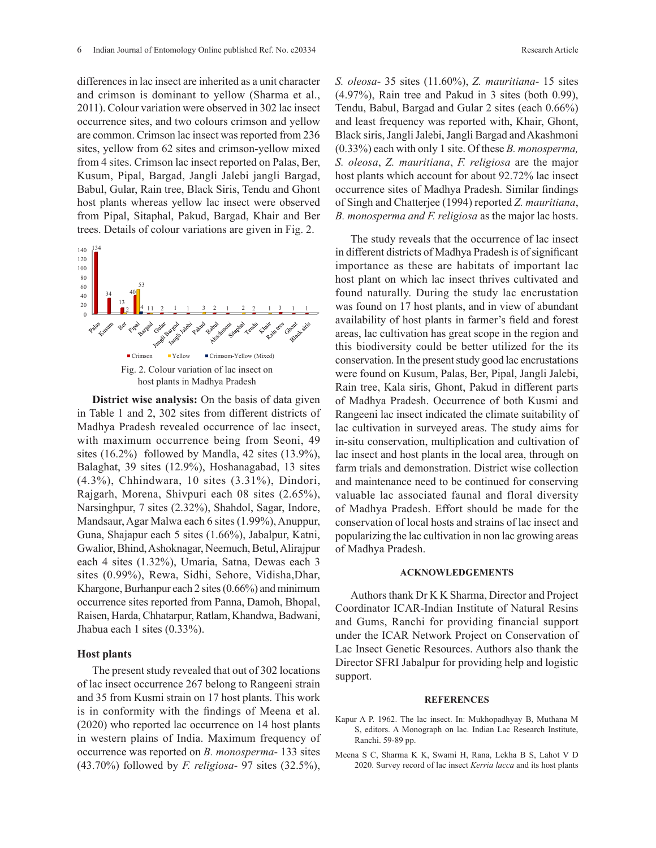differences in lac insect are inherited as a unit character and crimson is dominant to yellow (Sharma et al., 2011). Colour variation were observed in 302 lac insect occurrence sites, and two colours crimson and yellow are common. Crimson lac insect was reported from 236 sites, yellow from 62 sites and crimson-yellow mixed from 4 sites. Crimson lac insect reported on Palas, Ber, Kusum, Pipal, Bargad, Jangli Jalebi jangli Bargad, Babul, Gular, Rain tree, Black Siris, Tendu and Ghont host plants whereas yellow lac insect were observed from Pipal, Sitaphal, Pakud, Bargad, Khair and Ber trees. Details of colour variations are given in Fig. 2.



**District wise analysis:** On the basis of data given in Table 1 and 2, 302 sites from different districts of Madhya Pradesh revealed occurrence of lac insect, with maximum occurrence being from Seoni, 49 sites (16.2%) followed by Mandla, 42 sites (13.9%), Balaghat, 39 sites (12.9%), Hoshanagabad, 13 sites (4.3%), Chhindwara, 10 sites (3.31%), Dindori, Rajgarh, Morena, Shivpuri each 08 sites (2.65%), Narsinghpur, 7 sites (2.32%), Shahdol, Sagar, Indore, Mandsaur, Agar Malwa each 6 sites (1.99%), Anuppur, Guna, Shajapur each 5 sites (1.66%), Jabalpur, Katni, Gwalior, Bhind, Ashoknagar, Neemuch, Betul, Alirajpur each 4 sites (1.32%), Umaria, Satna, Dewas each 3 sites (0.99%), Rewa, Sidhi, Sehore, Vidisha,Dhar, Khargone, Burhanpur each 2 sites (0.66%) and minimum occurrence sites reported from Panna, Damoh, Bhopal, Raisen, Harda, Chhatarpur, Ratlam, Khandwa, Badwani, Jhabua each 1 sites (0.33%).

## **Host plants**

The present study revealed that out of 302 locations of lac insect occurrence 267 belong to Rangeeni strain and 35 from Kusmi strain on 17 host plants. This work is in conformity with the findings of Meena et al. (2020) who reported lac occurrence on 14 host plants in western plains of India. Maximum frequency of occurrence was reported on *B. monosperma*- 133 sites (43.70%) followed by *F. religiosa*- 97 sites (32.5%),

*S. oleosa*- 35 sites (11.60%), *Z. mauritiana*- 15 sites (4.97%), Rain tree and Pakud in 3 sites (both 0.99), Tendu, Babul, Bargad and Gular 2 sites (each 0.66%) and least frequency was reported with, Khair, Ghont, Black siris, Jangli Jalebi, Jangli Bargad and Akashmoni (0.33%) each with only 1 site. Of these *B. monosperma, S. oleosa*, *Z. mauritiana*, *F. religiosa* are the major host plants which account for about 92.72% lac insect occurrence sites of Madhya Pradesh. Similar findings of Singh and Chatterjee (1994) reported *Z. mauritiana*, *B. monosperma and F. religiosa* as the major lac hosts.

The study reveals that the occurrence of lac insect in different districts of Madhya Pradesh is of significant importance as these are habitats of important lac host plant on which lac insect thrives cultivated and found naturally. During the study lac encrustation was found on 17 host plants, and in view of abundant availability of host plants in farmer's field and forest areas, lac cultivation has great scope in the region and this biodiversity could be better utilized for the its conservation. In the present study good lac encrustations were found on Kusum, Palas, Ber, Pipal, Jangli Jalebi, Rain tree, Kala siris, Ghont, Pakud in different parts of Madhya Pradesh. Occurrence of both Kusmi and Rangeeni lac insect indicated the climate suitability of lac cultivation in surveyed areas. The study aims for in-situ conservation, multiplication and cultivation of lac insect and host plants in the local area, through on farm trials and demonstration. District wise collection and maintenance need to be continued for conserving valuable lac associated faunal and floral diversity of Madhya Pradesh. Effort should be made for the conservation of local hosts and strains of lac insect and popularizing the lac cultivation in non lac growing areas of Madhya Pradesh.

### **ACKNOWLEDGEMENTS**

Authors thank Dr K K Sharma, Director and Project Coordinator ICAR-Indian Institute of Natural Resins and Gums, Ranchi for providing financial support under the ICAR Network Project on Conservation of Lac Insect Genetic Resources. Authors also thank the Director SFRI Jabalpur for providing help and logistic support.

#### **REFERENCES**

- Kapur A P. 1962. The lac insect. In: Mukhopadhyay B, Muthana M S, editors. A Monograph on lac. Indian Lac Research Institute, Ranchi. 59-89 pp.
- Meena S C, Sharma K K, Swami H, Rana, Lekha B S, Lahot V D 2020. Survey record of lac insect *Kerria lacca* and its host plants